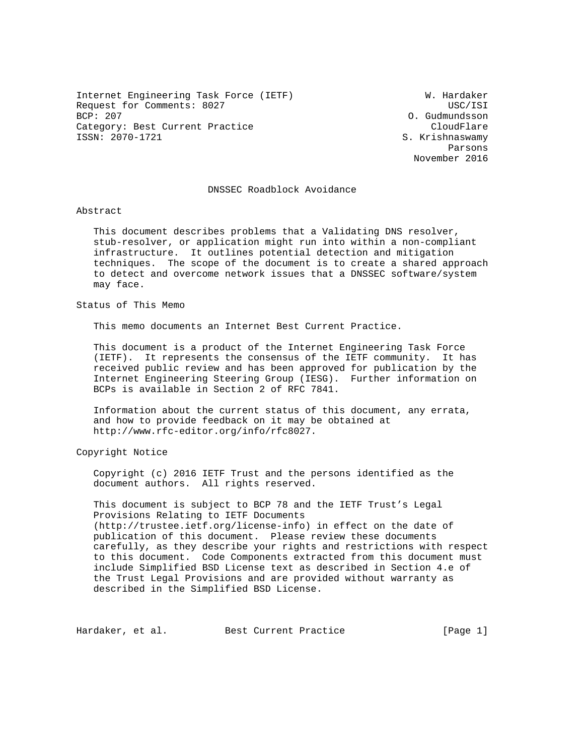Internet Engineering Task Force (IETF) W. Hardaker Request for Comments: 8027 USC/ISI USC/ISI USC/ISI USC/ISI USC/ISI USC/ISI USC/ISI USC/ISI USC/ISI USC/ISI USC Category: Best Current Practice CloudFlare CloudFlare ISSN: 2070-1721 S. Krishnaswamy

O. Gudmundsson Parsons and the contract of the contract of the contract of the contract of the contract of the contract of the contract of the contract of the contract of the contract of the contract of the contract of the contract of th November 2016

#### DNSSEC Roadblock Avoidance

Abstract

 This document describes problems that a Validating DNS resolver, stub-resolver, or application might run into within a non-compliant infrastructure. It outlines potential detection and mitigation techniques. The scope of the document is to create a shared approach to detect and overcome network issues that a DNSSEC software/system may face.

Status of This Memo

This memo documents an Internet Best Current Practice.

 This document is a product of the Internet Engineering Task Force (IETF). It represents the consensus of the IETF community. It has received public review and has been approved for publication by the Internet Engineering Steering Group (IESG). Further information on BCPs is available in Section 2 of RFC 7841.

 Information about the current status of this document, any errata, and how to provide feedback on it may be obtained at http://www.rfc-editor.org/info/rfc8027.

Copyright Notice

 Copyright (c) 2016 IETF Trust and the persons identified as the document authors. All rights reserved.

 This document is subject to BCP 78 and the IETF Trust's Legal Provisions Relating to IETF Documents (http://trustee.ietf.org/license-info) in effect on the date of publication of this document. Please review these documents carefully, as they describe your rights and restrictions with respect to this document. Code Components extracted from this document must include Simplified BSD License text as described in Section 4.e of the Trust Legal Provisions and are provided without warranty as described in the Simplified BSD License.

Hardaker, et al. Best Current Practice [Page 1]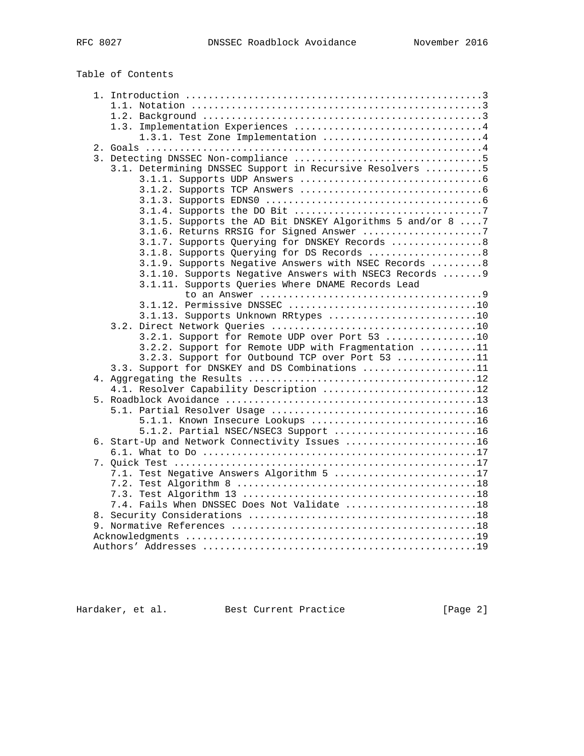|  | Table of Contents       |  |
|--|-------------------------|--|
|  |                         |  |
|  | $1 Tn + n_0d_1n + n_0n$ |  |

| 1.3.1. Test Zone Implementation 4                          |
|------------------------------------------------------------|
|                                                            |
|                                                            |
| 3.1. Determining DNSSEC Support in Recursive Resolvers 5   |
|                                                            |
|                                                            |
|                                                            |
|                                                            |
| 3.1.5. Supports the AD Bit DNSKEY Algorithms 5 and/or 8  7 |
| 3.1.6. Returns RRSIG for Signed Answer 7                   |
| 3.1.7. Supports Querying for DNSKEY Records  8             |
| 3.1.8. Supports Querying for DS Records  8                 |
| 3.1.9. Supports Negative Answers with NSEC Records  8      |
| 3.1.10. Supports Negative Answers with NSEC3 Records  9    |
| 3.1.11. Supports Queries Where DNAME Records Lead          |
|                                                            |
|                                                            |
|                                                            |
| 3.1.13. Supports Unknown RRtypes 10                        |
|                                                            |
| 3.2.1. Support for Remote UDP over Port 53 10              |
| 3.2.2. Support for Remote UDP with Fragmentation 11        |
| 3.2.3. Support for Outbound TCP over Port 53 11            |
| 3.3. Support for DNSKEY and DS Combinations 11             |
|                                                            |
| 4.1. Resolver Capability Description 12                    |
|                                                            |
|                                                            |
| 5.1.1. Known Insecure Lookups 16                           |
| 5.1.2. Partial NSEC/NSEC3 Support 16                       |
| 6. Start-Up and Network Connectivity Issues 16             |
|                                                            |
|                                                            |
| 7.1. Test Negative Answers Algorithm 5 17                  |
|                                                            |
|                                                            |
| 7.4. Fails When DNSSEC Does Not Validate 18                |
|                                                            |
|                                                            |
|                                                            |
|                                                            |

Hardaker, et al. Best Current Practice [Page 2]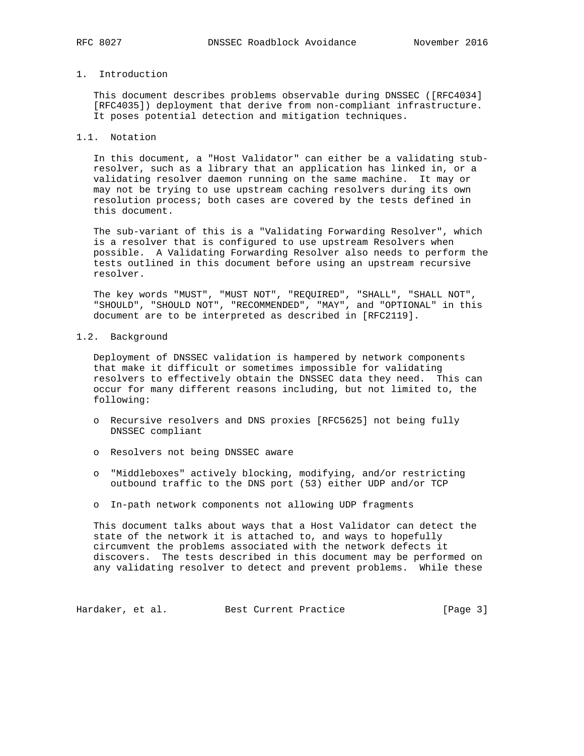# 1. Introduction

 This document describes problems observable during DNSSEC ([RFC4034] [RFC4035]) deployment that derive from non-compliant infrastructure. It poses potential detection and mitigation techniques.

### 1.1. Notation

 In this document, a "Host Validator" can either be a validating stub resolver, such as a library that an application has linked in, or a validating resolver daemon running on the same machine. It may or may not be trying to use upstream caching resolvers during its own resolution process; both cases are covered by the tests defined in this document.

 The sub-variant of this is a "Validating Forwarding Resolver", which is a resolver that is configured to use upstream Resolvers when possible. A Validating Forwarding Resolver also needs to perform the tests outlined in this document before using an upstream recursive resolver.

 The key words "MUST", "MUST NOT", "REQUIRED", "SHALL", "SHALL NOT", "SHOULD", "SHOULD NOT", "RECOMMENDED", "MAY", and "OPTIONAL" in this document are to be interpreted as described in [RFC2119].

# 1.2. Background

 Deployment of DNSSEC validation is hampered by network components that make it difficult or sometimes impossible for validating resolvers to effectively obtain the DNSSEC data they need. This can occur for many different reasons including, but not limited to, the following:

- o Recursive resolvers and DNS proxies [RFC5625] not being fully DNSSEC compliant
- o Resolvers not being DNSSEC aware
- o "Middleboxes" actively blocking, modifying, and/or restricting outbound traffic to the DNS port (53) either UDP and/or TCP
- o In-path network components not allowing UDP fragments

 This document talks about ways that a Host Validator can detect the state of the network it is attached to, and ways to hopefully circumvent the problems associated with the network defects it discovers. The tests described in this document may be performed on any validating resolver to detect and prevent problems. While these

Hardaker, et al. Best Current Practice [Page 3]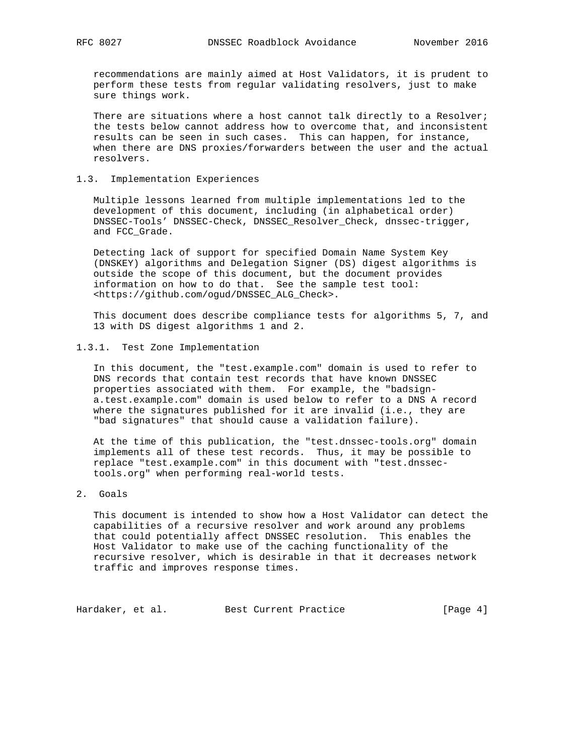recommendations are mainly aimed at Host Validators, it is prudent to perform these tests from regular validating resolvers, just to make sure things work.

There are situations where a host cannot talk directly to a Resolver; the tests below cannot address how to overcome that, and inconsistent results can be seen in such cases. This can happen, for instance, when there are DNS proxies/forwarders between the user and the actual resolvers.

## 1.3. Implementation Experiences

 Multiple lessons learned from multiple implementations led to the development of this document, including (in alphabetical order) DNSSEC-Tools' DNSSEC-Check, DNSSEC\_Resolver\_Check, dnssec-trigger, and FCC\_Grade.

 Detecting lack of support for specified Domain Name System Key (DNSKEY) algorithms and Delegation Signer (DS) digest algorithms is outside the scope of this document, but the document provides information on how to do that. See the sample test tool: <https://github.com/ogud/DNSSEC\_ALG\_Check>.

 This document does describe compliance tests for algorithms 5, 7, and 13 with DS digest algorithms 1 and 2.

1.3.1. Test Zone Implementation

 In this document, the "test.example.com" domain is used to refer to DNS records that contain test records that have known DNSSEC properties associated with them. For example, the "badsign a.test.example.com" domain is used below to refer to a DNS A record where the signatures published for it are invalid (i.e., they are "bad signatures" that should cause a validation failure).

 At the time of this publication, the "test.dnssec-tools.org" domain implements all of these test records. Thus, it may be possible to replace "test.example.com" in this document with "test.dnssec tools.org" when performing real-world tests.

## 2. Goals

 This document is intended to show how a Host Validator can detect the capabilities of a recursive resolver and work around any problems that could potentially affect DNSSEC resolution. This enables the Host Validator to make use of the caching functionality of the recursive resolver, which is desirable in that it decreases network traffic and improves response times.

Hardaker, et al. Best Current Practice [Page 4]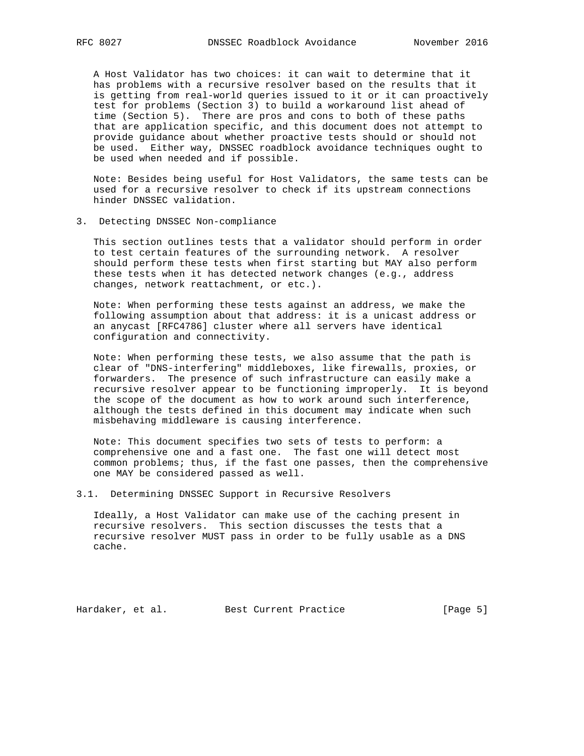A Host Validator has two choices: it can wait to determine that it has problems with a recursive resolver based on the results that it is getting from real-world queries issued to it or it can proactively test for problems (Section 3) to build a workaround list ahead of time (Section 5). There are pros and cons to both of these paths that are application specific, and this document does not attempt to provide guidance about whether proactive tests should or should not be used. Either way, DNSSEC roadblock avoidance techniques ought to be used when needed and if possible.

 Note: Besides being useful for Host Validators, the same tests can be used for a recursive resolver to check if its upstream connections hinder DNSSEC validation.

3. Detecting DNSSEC Non-compliance

 This section outlines tests that a validator should perform in order to test certain features of the surrounding network. A resolver should perform these tests when first starting but MAY also perform these tests when it has detected network changes (e.g., address changes, network reattachment, or etc.).

 Note: When performing these tests against an address, we make the following assumption about that address: it is a unicast address or an anycast [RFC4786] cluster where all servers have identical configuration and connectivity.

 Note: When performing these tests, we also assume that the path is clear of "DNS-interfering" middleboxes, like firewalls, proxies, or forwarders. The presence of such infrastructure can easily make a recursive resolver appear to be functioning improperly. It is beyond the scope of the document as how to work around such interference, although the tests defined in this document may indicate when such misbehaving middleware is causing interference.

 Note: This document specifies two sets of tests to perform: a comprehensive one and a fast one. The fast one will detect most common problems; thus, if the fast one passes, then the comprehensive one MAY be considered passed as well.

3.1. Determining DNSSEC Support in Recursive Resolvers

 Ideally, a Host Validator can make use of the caching present in recursive resolvers. This section discusses the tests that a recursive resolver MUST pass in order to be fully usable as a DNS cache.

Hardaker, et al. Best Current Practice [Page 5]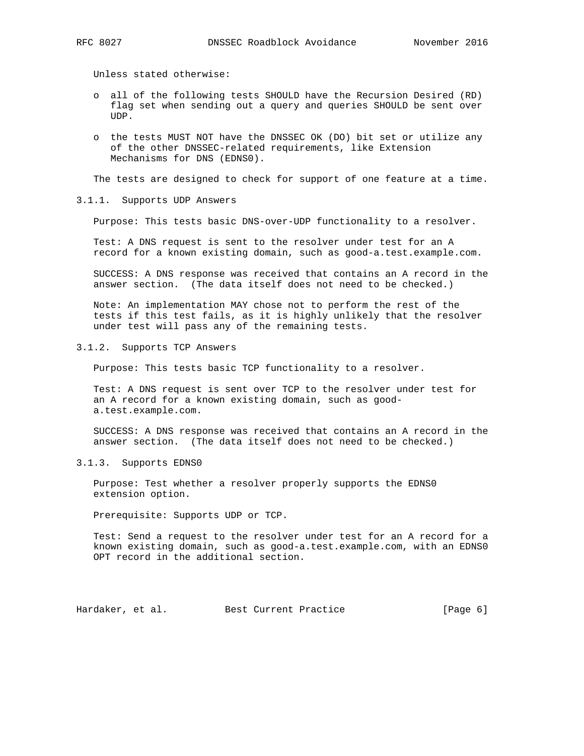Unless stated otherwise:

- o all of the following tests SHOULD have the Recursion Desired (RD) flag set when sending out a query and queries SHOULD be sent over UDP.
- o the tests MUST NOT have the DNSSEC OK (DO) bit set or utilize any of the other DNSSEC-related requirements, like Extension Mechanisms for DNS (EDNS0).

The tests are designed to check for support of one feature at a time.

#### 3.1.1. Supports UDP Answers

Purpose: This tests basic DNS-over-UDP functionality to a resolver.

 Test: A DNS request is sent to the resolver under test for an A record for a known existing domain, such as good-a.test.example.com.

 SUCCESS: A DNS response was received that contains an A record in the answer section. (The data itself does not need to be checked.)

 Note: An implementation MAY chose not to perform the rest of the tests if this test fails, as it is highly unlikely that the resolver under test will pass any of the remaining tests.

3.1.2. Supports TCP Answers

Purpose: This tests basic TCP functionality to a resolver.

 Test: A DNS request is sent over TCP to the resolver under test for an A record for a known existing domain, such as good a.test.example.com.

 SUCCESS: A DNS response was received that contains an A record in the answer section. (The data itself does not need to be checked.)

## 3.1.3. Supports EDNS0

 Purpose: Test whether a resolver properly supports the EDNS0 extension option.

Prerequisite: Supports UDP or TCP.

 Test: Send a request to the resolver under test for an A record for a known existing domain, such as good-a.test.example.com, with an EDNS0 OPT record in the additional section.

Hardaker, et al. Best Current Practice [Page 6]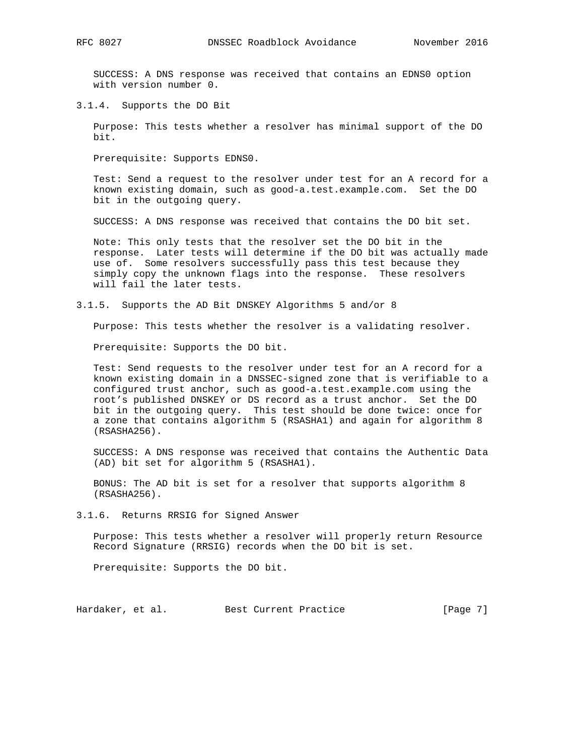SUCCESS: A DNS response was received that contains an EDNS0 option with version number 0.

3.1.4. Supports the DO Bit

 Purpose: This tests whether a resolver has minimal support of the DO bit.

Prerequisite: Supports EDNS0.

 Test: Send a request to the resolver under test for an A record for a known existing domain, such as good-a.test.example.com. Set the DO bit in the outgoing query.

SUCCESS: A DNS response was received that contains the DO bit set.

 Note: This only tests that the resolver set the DO bit in the response. Later tests will determine if the DO bit was actually made use of. Some resolvers successfully pass this test because they simply copy the unknown flags into the response. These resolvers will fail the later tests.

3.1.5. Supports the AD Bit DNSKEY Algorithms 5 and/or 8

Purpose: This tests whether the resolver is a validating resolver.

Prerequisite: Supports the DO bit.

 Test: Send requests to the resolver under test for an A record for a known existing domain in a DNSSEC-signed zone that is verifiable to a configured trust anchor, such as good-a.test.example.com using the root's published DNSKEY or DS record as a trust anchor. Set the DO bit in the outgoing query. This test should be done twice: once for a zone that contains algorithm 5 (RSASHA1) and again for algorithm 8 (RSASHA256).

 SUCCESS: A DNS response was received that contains the Authentic Data (AD) bit set for algorithm 5 (RSASHA1).

 BONUS: The AD bit is set for a resolver that supports algorithm 8 (RSASHA256).

3.1.6. Returns RRSIG for Signed Answer

 Purpose: This tests whether a resolver will properly return Resource Record Signature (RRSIG) records when the DO bit is set.

Prerequisite: Supports the DO bit.

Hardaker, et al. Best Current Practice [Page 7]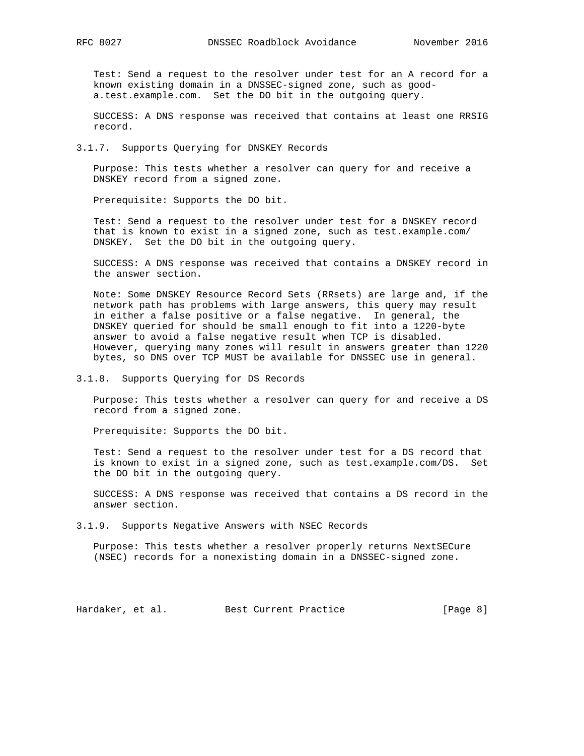Test: Send a request to the resolver under test for an A record for a known existing domain in a DNSSEC-signed zone, such as good a.test.example.com. Set the DO bit in the outgoing query.

 SUCCESS: A DNS response was received that contains at least one RRSIG record.

3.1.7. Supports Querying for DNSKEY Records

 Purpose: This tests whether a resolver can query for and receive a DNSKEY record from a signed zone.

Prerequisite: Supports the DO bit.

 Test: Send a request to the resolver under test for a DNSKEY record that is known to exist in a signed zone, such as test.example.com/ DNSKEY. Set the DO bit in the outgoing query.

 SUCCESS: A DNS response was received that contains a DNSKEY record in the answer section.

 Note: Some DNSKEY Resource Record Sets (RRsets) are large and, if the network path has problems with large answers, this query may result in either a false positive or a false negative. In general, the DNSKEY queried for should be small enough to fit into a 1220-byte answer to avoid a false negative result when TCP is disabled. However, querying many zones will result in answers greater than 1220 bytes, so DNS over TCP MUST be available for DNSSEC use in general.

3.1.8. Supports Querying for DS Records

 Purpose: This tests whether a resolver can query for and receive a DS record from a signed zone.

Prerequisite: Supports the DO bit.

 Test: Send a request to the resolver under test for a DS record that is known to exist in a signed zone, such as test.example.com/DS. Set the DO bit in the outgoing query.

 SUCCESS: A DNS response was received that contains a DS record in the answer section.

3.1.9. Supports Negative Answers with NSEC Records

 Purpose: This tests whether a resolver properly returns NextSECure (NSEC) records for a nonexisting domain in a DNSSEC-signed zone.

Hardaker, et al. Best Current Practice [Page 8]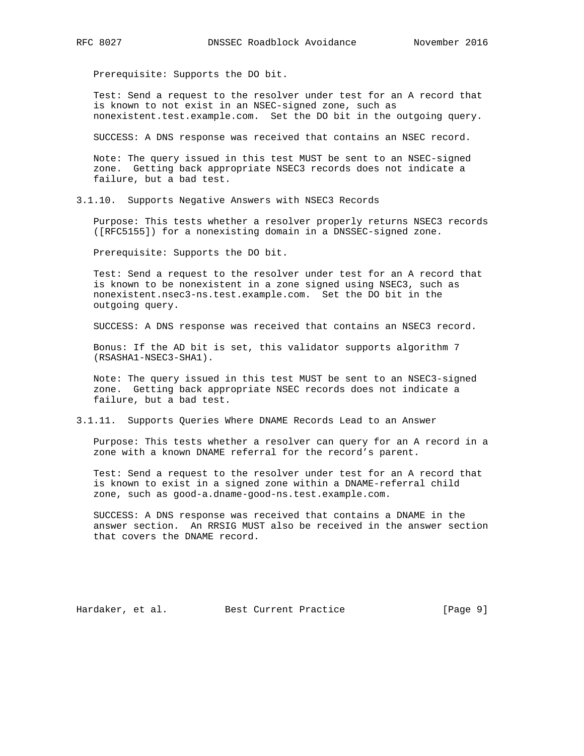Prerequisite: Supports the DO bit.

 Test: Send a request to the resolver under test for an A record that is known to not exist in an NSEC-signed zone, such as nonexistent.test.example.com. Set the DO bit in the outgoing query.

SUCCESS: A DNS response was received that contains an NSEC record.

 Note: The query issued in this test MUST be sent to an NSEC-signed zone. Getting back appropriate NSEC3 records does not indicate a failure, but a bad test.

3.1.10. Supports Negative Answers with NSEC3 Records

 Purpose: This tests whether a resolver properly returns NSEC3 records ([RFC5155]) for a nonexisting domain in a DNSSEC-signed zone.

Prerequisite: Supports the DO bit.

 Test: Send a request to the resolver under test for an A record that is known to be nonexistent in a zone signed using NSEC3, such as nonexistent.nsec3-ns.test.example.com. Set the DO bit in the outgoing query.

SUCCESS: A DNS response was received that contains an NSEC3 record.

 Bonus: If the AD bit is set, this validator supports algorithm 7 (RSASHA1-NSEC3-SHA1).

 Note: The query issued in this test MUST be sent to an NSEC3-signed zone. Getting back appropriate NSEC records does not indicate a failure, but a bad test.

3.1.11. Supports Queries Where DNAME Records Lead to an Answer

 Purpose: This tests whether a resolver can query for an A record in a zone with a known DNAME referral for the record's parent.

 Test: Send a request to the resolver under test for an A record that is known to exist in a signed zone within a DNAME-referral child zone, such as good-a.dname-good-ns.test.example.com.

 SUCCESS: A DNS response was received that contains a DNAME in the answer section. An RRSIG MUST also be received in the answer section that covers the DNAME record.

Hardaker, et al. Best Current Practice [Page 9]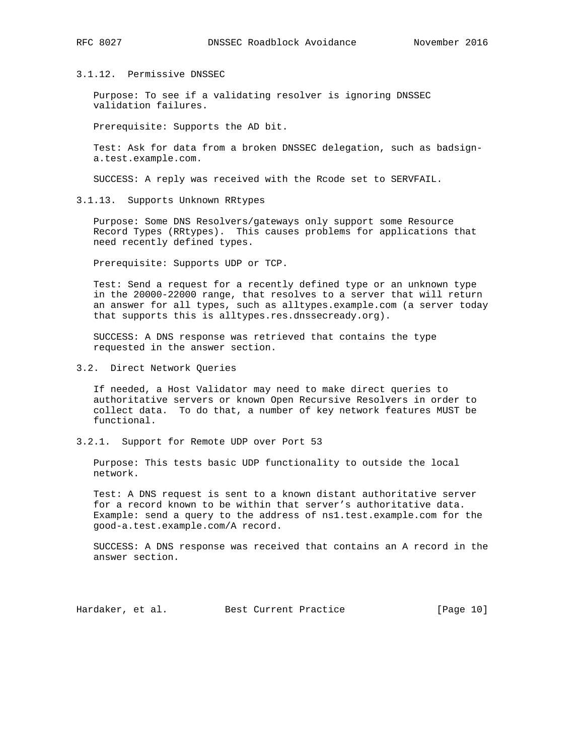3.1.12. Permissive DNSSEC

 Purpose: To see if a validating resolver is ignoring DNSSEC validation failures.

Prerequisite: Supports the AD bit.

 Test: Ask for data from a broken DNSSEC delegation, such as badsign a.test.example.com.

SUCCESS: A reply was received with the Rcode set to SERVFAIL.

#### 3.1.13. Supports Unknown RRtypes

 Purpose: Some DNS Resolvers/gateways only support some Resource Record Types (RRtypes). This causes problems for applications that need recently defined types.

Prerequisite: Supports UDP or TCP.

 Test: Send a request for a recently defined type or an unknown type in the 20000-22000 range, that resolves to a server that will return an answer for all types, such as alltypes.example.com (a server today that supports this is alltypes.res.dnssecready.org).

 SUCCESS: A DNS response was retrieved that contains the type requested in the answer section.

3.2. Direct Network Queries

 If needed, a Host Validator may need to make direct queries to authoritative servers or known Open Recursive Resolvers in order to collect data. To do that, a number of key network features MUST be functional.

3.2.1. Support for Remote UDP over Port 53

 Purpose: This tests basic UDP functionality to outside the local network.

 Test: A DNS request is sent to a known distant authoritative server for a record known to be within that server's authoritative data. Example: send a query to the address of ns1.test.example.com for the good-a.test.example.com/A record.

 SUCCESS: A DNS response was received that contains an A record in the answer section.

Hardaker, et al. Best Current Practice [Page 10]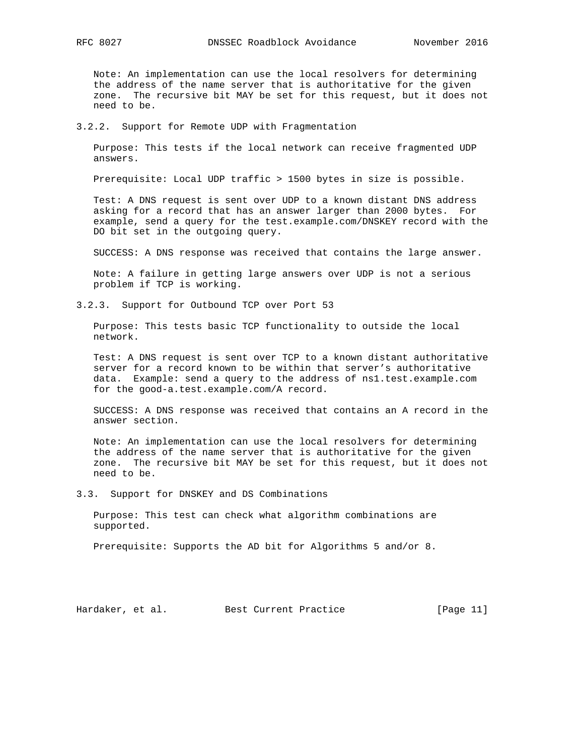Note: An implementation can use the local resolvers for determining the address of the name server that is authoritative for the given zone. The recursive bit MAY be set for this request, but it does not need to be.

3.2.2. Support for Remote UDP with Fragmentation

 Purpose: This tests if the local network can receive fragmented UDP answers.

Prerequisite: Local UDP traffic > 1500 bytes in size is possible.

 Test: A DNS request is sent over UDP to a known distant DNS address asking for a record that has an answer larger than 2000 bytes. For example, send a query for the test.example.com/DNSKEY record with the DO bit set in the outgoing query.

SUCCESS: A DNS response was received that contains the large answer.

 Note: A failure in getting large answers over UDP is not a serious problem if TCP is working.

3.2.3. Support for Outbound TCP over Port 53

 Purpose: This tests basic TCP functionality to outside the local network.

 Test: A DNS request is sent over TCP to a known distant authoritative server for a record known to be within that server's authoritative data. Example: send a query to the address of ns1.test.example.com for the good-a.test.example.com/A record.

 SUCCESS: A DNS response was received that contains an A record in the answer section.

 Note: An implementation can use the local resolvers for determining the address of the name server that is authoritative for the given zone. The recursive bit MAY be set for this request, but it does not need to be.

3.3. Support for DNSKEY and DS Combinations

 Purpose: This test can check what algorithm combinations are supported.

Prerequisite: Supports the AD bit for Algorithms 5 and/or 8.

Hardaker, et al. Best Current Practice [Page 11]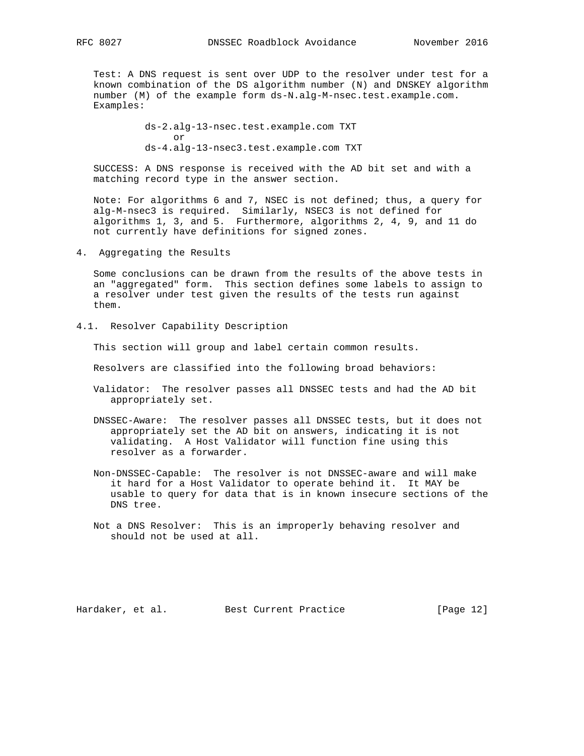Test: A DNS request is sent over UDP to the resolver under test for a known combination of the DS algorithm number (N) and DNSKEY algorithm number (M) of the example form ds-N.alg-M-nsec.test.example.com. Examples:

 ds-2.alg-13-nsec.test.example.com TXT **or or** ds-4.alg-13-nsec3.test.example.com TXT

 SUCCESS: A DNS response is received with the AD bit set and with a matching record type in the answer section.

 Note: For algorithms 6 and 7, NSEC is not defined; thus, a query for alg-M-nsec3 is required. Similarly, NSEC3 is not defined for algorithms 1, 3, and 5. Furthermore, algorithms 2, 4, 9, and 11 do not currently have definitions for signed zones.

4. Aggregating the Results

 Some conclusions can be drawn from the results of the above tests in an "aggregated" form. This section defines some labels to assign to a resolver under test given the results of the tests run against them.

4.1. Resolver Capability Description

This section will group and label certain common results.

Resolvers are classified into the following broad behaviors:

- Validator: The resolver passes all DNSSEC tests and had the AD bit appropriately set.
- DNSSEC-Aware: The resolver passes all DNSSEC tests, but it does not appropriately set the AD bit on answers, indicating it is not validating. A Host Validator will function fine using this resolver as a forwarder.
- Non-DNSSEC-Capable: The resolver is not DNSSEC-aware and will make it hard for a Host Validator to operate behind it. It MAY be usable to query for data that is in known insecure sections of the DNS tree.
- Not a DNS Resolver: This is an improperly behaving resolver and should not be used at all.

Hardaker, et al. Best Current Practice [Page 12]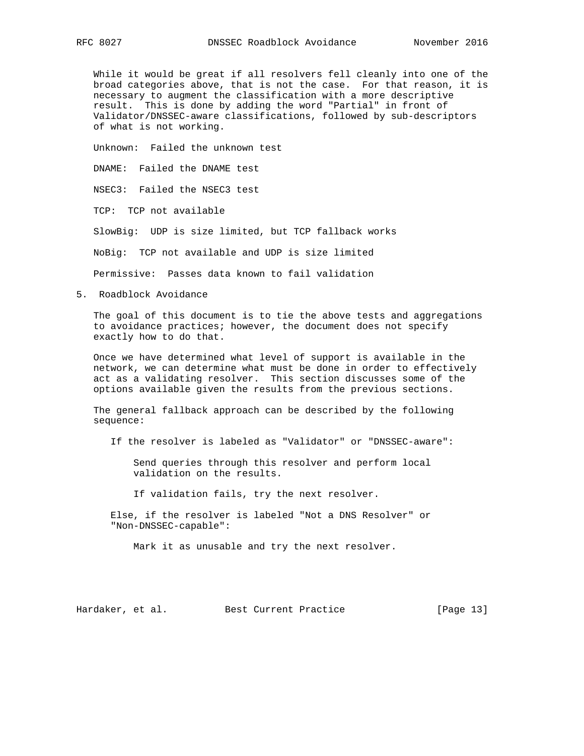While it would be great if all resolvers fell cleanly into one of the broad categories above, that is not the case. For that reason, it is necessary to augment the classification with a more descriptive result. This is done by adding the word "Partial" in front of Validator/DNSSEC-aware classifications, followed by sub-descriptors of what is not working.

 Unknown: Failed the unknown test DNAME: Failed the DNAME test NSEC3: Failed the NSEC3 test TCP: TCP not available SlowBig: UDP is size limited, but TCP fallback works NoBig: TCP not available and UDP is size limited Permissive: Passes data known to fail validation

5. Roadblock Avoidance

 The goal of this document is to tie the above tests and aggregations to avoidance practices; however, the document does not specify exactly how to do that.

 Once we have determined what level of support is available in the network, we can determine what must be done in order to effectively act as a validating resolver. This section discusses some of the options available given the results from the previous sections.

 The general fallback approach can be described by the following sequence:

If the resolver is labeled as "Validator" or "DNSSEC-aware":

 Send queries through this resolver and perform local validation on the results.

If validation fails, try the next resolver.

 Else, if the resolver is labeled "Not a DNS Resolver" or "Non-DNSSEC-capable":

Mark it as unusable and try the next resolver.

Hardaker, et al. Best Current Practice [Page 13]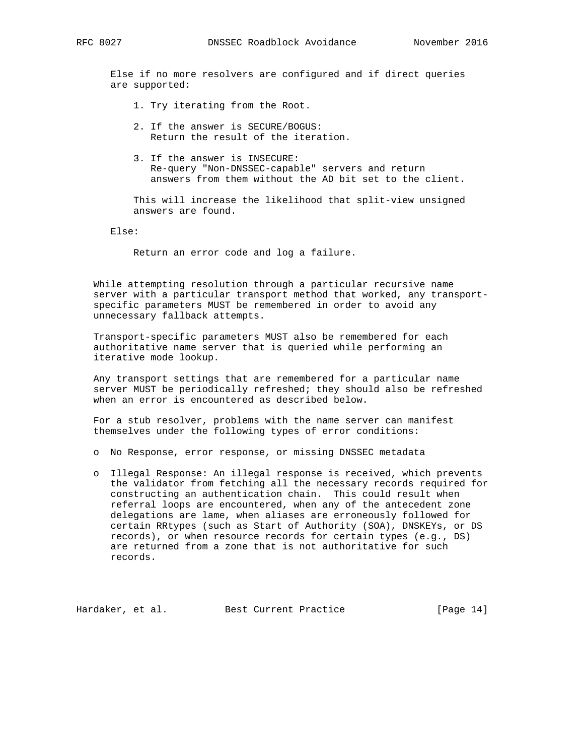Else if no more resolvers are configured and if direct queries are supported:

- 1. Try iterating from the Root.
- 2. If the answer is SECURE/BOGUS: Return the result of the iteration.
- 3. If the answer is INSECURE: Re-query "Non-DNSSEC-capable" servers and return answers from them without the AD bit set to the client.

 This will increase the likelihood that split-view unsigned answers are found.

Else:

Return an error code and log a failure.

 While attempting resolution through a particular recursive name server with a particular transport method that worked, any transport specific parameters MUST be remembered in order to avoid any unnecessary fallback attempts.

 Transport-specific parameters MUST also be remembered for each authoritative name server that is queried while performing an iterative mode lookup.

 Any transport settings that are remembered for a particular name server MUST be periodically refreshed; they should also be refreshed when an error is encountered as described below.

 For a stub resolver, problems with the name server can manifest themselves under the following types of error conditions:

- o No Response, error response, or missing DNSSEC metadata
- o Illegal Response: An illegal response is received, which prevents the validator from fetching all the necessary records required for constructing an authentication chain. This could result when referral loops are encountered, when any of the antecedent zone delegations are lame, when aliases are erroneously followed for certain RRtypes (such as Start of Authority (SOA), DNSKEYs, or DS records), or when resource records for certain types (e.g., DS) are returned from a zone that is not authoritative for such records.

Hardaker, et al. Best Current Practice [Page 14]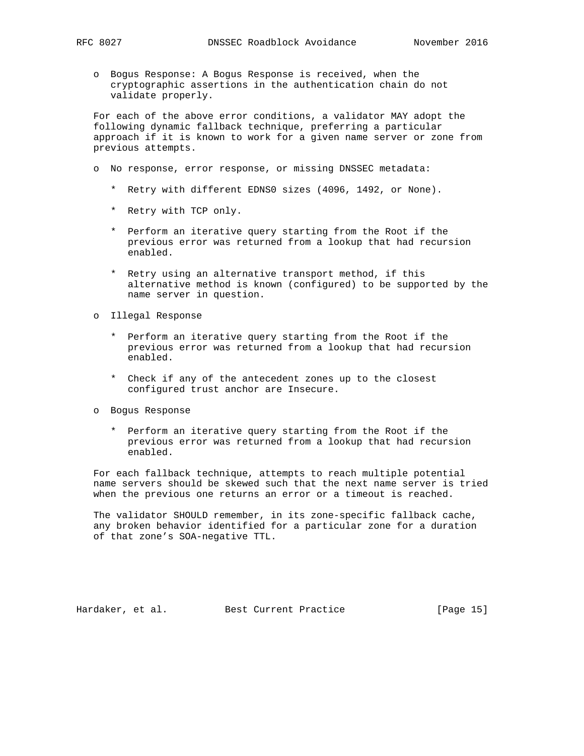- - o Bogus Response: A Bogus Response is received, when the cryptographic assertions in the authentication chain do not validate properly.

 For each of the above error conditions, a validator MAY adopt the following dynamic fallback technique, preferring a particular approach if it is known to work for a given name server or zone from previous attempts.

- o No response, error response, or missing DNSSEC metadata:
	- \* Retry with different EDNS0 sizes (4096, 1492, or None).
	- \* Retry with TCP only.
	- \* Perform an iterative query starting from the Root if the previous error was returned from a lookup that had recursion enabled.
	- \* Retry using an alternative transport method, if this alternative method is known (configured) to be supported by the name server in question.
- o Illegal Response
	- \* Perform an iterative query starting from the Root if the previous error was returned from a lookup that had recursion enabled.
	- \* Check if any of the antecedent zones up to the closest configured trust anchor are Insecure.
- o Bogus Response
	- \* Perform an iterative query starting from the Root if the previous error was returned from a lookup that had recursion enabled.

 For each fallback technique, attempts to reach multiple potential name servers should be skewed such that the next name server is tried when the previous one returns an error or a timeout is reached.

 The validator SHOULD remember, in its zone-specific fallback cache, any broken behavior identified for a particular zone for a duration of that zone's SOA-negative TTL.

Hardaker, et al. Best Current Practice [Page 15]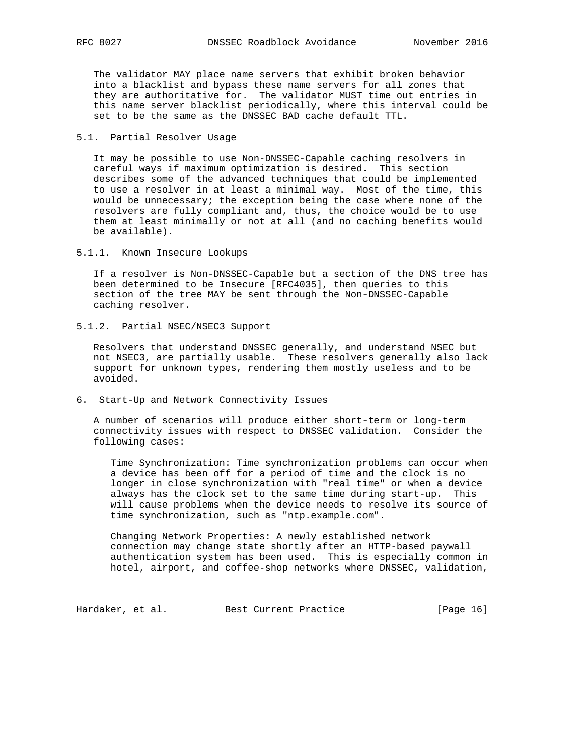The validator MAY place name servers that exhibit broken behavior into a blacklist and bypass these name servers for all zones that they are authoritative for. The validator MUST time out entries in this name server blacklist periodically, where this interval could be set to be the same as the DNSSEC BAD cache default TTL.

5.1. Partial Resolver Usage

 It may be possible to use Non-DNSSEC-Capable caching resolvers in careful ways if maximum optimization is desired. This section describes some of the advanced techniques that could be implemented to use a resolver in at least a minimal way. Most of the time, this would be unnecessary; the exception being the case where none of the resolvers are fully compliant and, thus, the choice would be to use them at least minimally or not at all (and no caching benefits would be available).

5.1.1. Known Insecure Lookups

 If a resolver is Non-DNSSEC-Capable but a section of the DNS tree has been determined to be Insecure [RFC4035], then queries to this section of the tree MAY be sent through the Non-DNSSEC-Capable caching resolver.

5.1.2. Partial NSEC/NSEC3 Support

 Resolvers that understand DNSSEC generally, and understand NSEC but not NSEC3, are partially usable. These resolvers generally also lack support for unknown types, rendering them mostly useless and to be avoided.

6. Start-Up and Network Connectivity Issues

 A number of scenarios will produce either short-term or long-term connectivity issues with respect to DNSSEC validation. Consider the following cases:

 Time Synchronization: Time synchronization problems can occur when a device has been off for a period of time and the clock is no longer in close synchronization with "real time" or when a device always has the clock set to the same time during start-up. This will cause problems when the device needs to resolve its source of time synchronization, such as "ntp.example.com".

 Changing Network Properties: A newly established network connection may change state shortly after an HTTP-based paywall authentication system has been used. This is especially common in hotel, airport, and coffee-shop networks where DNSSEC, validation,

Hardaker, et al. Best Current Practice [Page 16]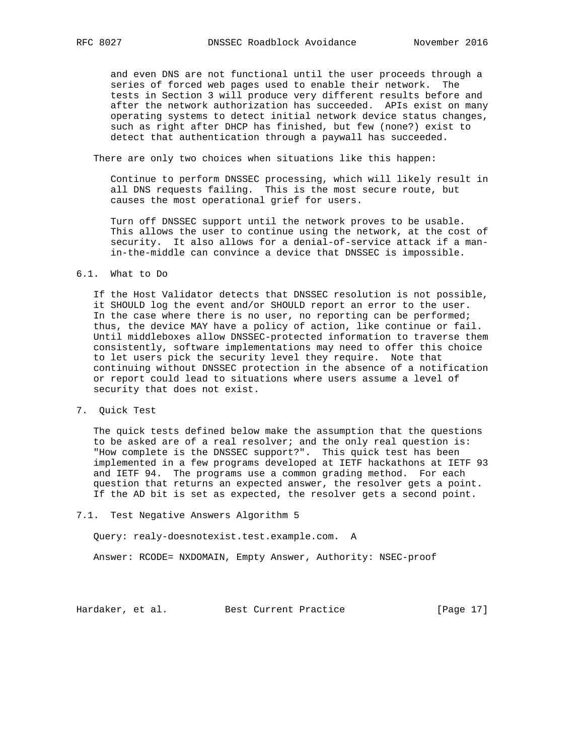and even DNS are not functional until the user proceeds through a series of forced web pages used to enable their network. The tests in Section 3 will produce very different results before and after the network authorization has succeeded. APIs exist on many operating systems to detect initial network device status changes, such as right after DHCP has finished, but few (none?) exist to detect that authentication through a paywall has succeeded.

There are only two choices when situations like this happen:

 Continue to perform DNSSEC processing, which will likely result in all DNS requests failing. This is the most secure route, but causes the most operational grief for users.

 Turn off DNSSEC support until the network proves to be usable. This allows the user to continue using the network, at the cost of security. It also allows for a denial-of-service attack if a man in-the-middle can convince a device that DNSSEC is impossible.

#### 6.1. What to Do

 If the Host Validator detects that DNSSEC resolution is not possible, it SHOULD log the event and/or SHOULD report an error to the user. In the case where there is no user, no reporting can be performed; thus, the device MAY have a policy of action, like continue or fail. Until middleboxes allow DNSSEC-protected information to traverse them consistently, software implementations may need to offer this choice to let users pick the security level they require. Note that continuing without DNSSEC protection in the absence of a notification or report could lead to situations where users assume a level of security that does not exist.

7. Quick Test

 The quick tests defined below make the assumption that the questions to be asked are of a real resolver; and the only real question is: "How complete is the DNSSEC support?". This quick test has been implemented in a few programs developed at IETF hackathons at IETF 93 and IETF 94. The programs use a common grading method. For each question that returns an expected answer, the resolver gets a point. If the AD bit is set as expected, the resolver gets a second point.

#### 7.1. Test Negative Answers Algorithm 5

Query: realy-doesnotexist.test.example.com. A

Answer: RCODE= NXDOMAIN, Empty Answer, Authority: NSEC-proof

Hardaker, et al. Best Current Practice [Page 17]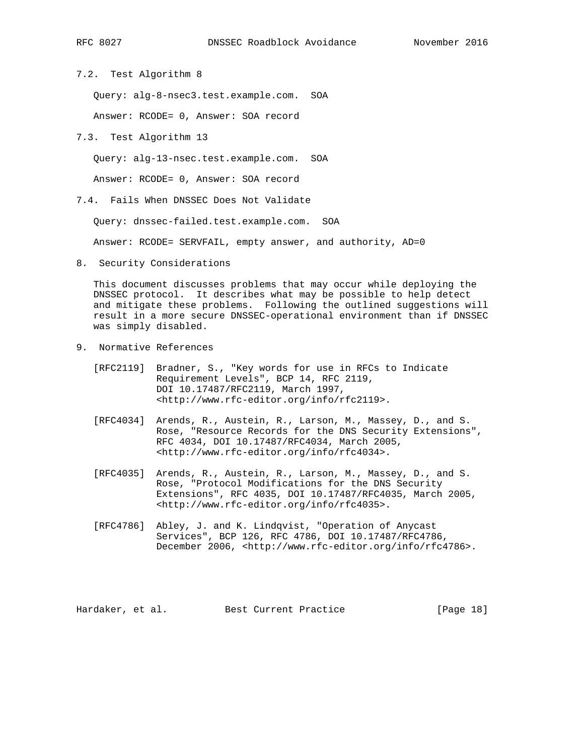7.2. Test Algorithm 8

Query: alg-8-nsec3.test.example.com. SOA

Answer: RCODE= 0, Answer: SOA record

7.3. Test Algorithm 13

Query: alg-13-nsec.test.example.com. SOA

Answer: RCODE= 0, Answer: SOA record

7.4. Fails When DNSSEC Does Not Validate

Query: dnssec-failed.test.example.com. SOA

Answer: RCODE= SERVFAIL, empty answer, and authority, AD=0

8. Security Considerations

 This document discusses problems that may occur while deploying the DNSSEC protocol. It describes what may be possible to help detect and mitigate these problems. Following the outlined suggestions will result in a more secure DNSSEC-operational environment than if DNSSEC was simply disabled.

- 9. Normative References
	- [RFC2119] Bradner, S., "Key words for use in RFCs to Indicate Requirement Levels", BCP 14, RFC 2119, DOI 10.17487/RFC2119, March 1997, <http://www.rfc-editor.org/info/rfc2119>.
	- [RFC4034] Arends, R., Austein, R., Larson, M., Massey, D., and S. Rose, "Resource Records for the DNS Security Extensions", RFC 4034, DOI 10.17487/RFC4034, March 2005, <http://www.rfc-editor.org/info/rfc4034>.
	- [RFC4035] Arends, R., Austein, R., Larson, M., Massey, D., and S. Rose, "Protocol Modifications for the DNS Security Extensions", RFC 4035, DOI 10.17487/RFC4035, March 2005, <http://www.rfc-editor.org/info/rfc4035>.
	- [RFC4786] Abley, J. and K. Lindqvist, "Operation of Anycast Services", BCP 126, RFC 4786, DOI 10.17487/RFC4786, December 2006, <http://www.rfc-editor.org/info/rfc4786>.

Hardaker, et al. Best Current Practice [Page 18]